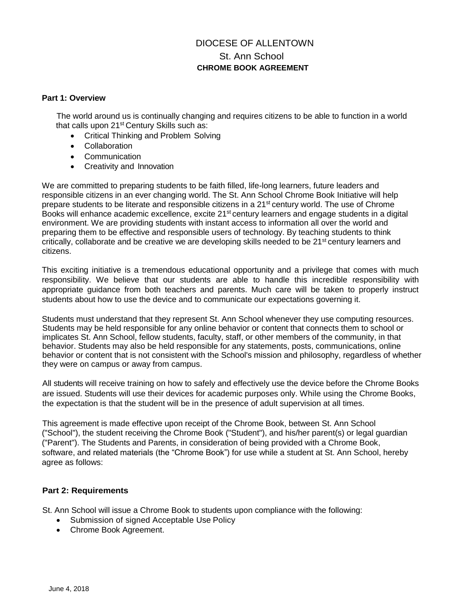# DIOCESE OF ALLENTOWN St. Ann School **CHROME BOOK AGREEMENT**

#### **Part 1: Overview**

The world around us is continually changing and requires citizens to be able to function in a world that calls upon 21<sup>st</sup> Century Skills such as:

- Critical Thinking and Problem Solving
- Collaboration
- Communication
- Creativity and Innovation

We are committed to preparing students to be faith filled, life-long learners, future leaders and responsible citizens in an ever changing world. The St. Ann School Chrome Book Initiative will help prepare students to be literate and responsible citizens in a 21<sup>st</sup> century world. The use of Chrome Books will enhance academic excellence, excite 21<sup>st</sup> century learners and engage students in a digital environment. We are providing students with instant access to information all over the world and preparing them to be effective and responsible users of technology. By teaching students to think critically, collaborate and be creative we are developing skills needed to be  $21<sup>st</sup>$  century learners and citizens.

This exciting initiative is a tremendous educational opportunity and a privilege that comes with much responsibility. We believe that our students are able to handle this incredible responsibility with appropriate guidance from both teachers and parents. Much care will be taken to properly instruct students about how to use the device and to communicate our expectations governing it.

Students must understand that they represent St. Ann School whenever they use computing resources. Students may be held responsible for any online behavior or content that connects them to school or implicates St. Ann School, fellow students, faculty, staff, or other members of the community, in that behavior. Students may also be held responsible for any statements, posts, communications, online behavior or content that is not consistent with the School's mission and philosophy, regardless of whether they were on campus or away from campus.

All students will receive training on how to safely and effectively use the device before the Chrome Books are issued. Students will use their devices for academic purposes only. While using the Chrome Books, the expectation is that the student will be in the presence of adult supervision at all times.

This agreement is made effective upon receipt of the Chrome Book, between St. Ann School ("School"), the student receiving the Chrome Book ("Student"), and his/her parent(s) or legal guardian ("Parent"). The Students and Parents, in consideration of being provided with a Chrome Book, software, and related materials (the "Chrome Book") for use while a student at St. Ann School, hereby agree as follows:

### **Part 2: Requirements**

St. Ann School will issue a Chrome Book to students upon compliance with the following:

- Submission of signed Acceptable Use Policy
- Chrome Book Agreement.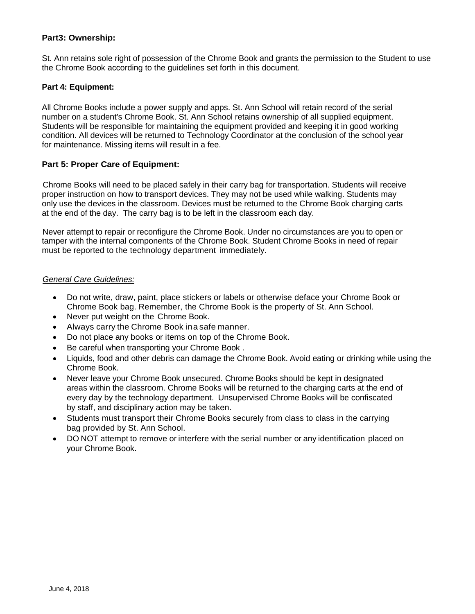### **Part3: Ownership:**

St. Ann retains sole right of possession of the Chrome Book and grants the permission to the Student to use the Chrome Book according to the guidelines set forth in this document.

### **Part 4: Equipment:**

All Chrome Books include a power supply and apps. St. Ann School will retain record of the serial number on a student's Chrome Book. St. Ann School retains ownership of all supplied equipment. Students will be responsible for maintaining the equipment provided and keeping it in good working condition. All devices will be returned to Technology Coordinator at the conclusion of the school year for maintenance. Missing items will result in a fee.

### **Part 5: Proper Care of Equipment:**

Chrome Books will need to be placed safely in their carry bag for transportation. Students will receive proper instruction on how to transport devices. They may not be used while walking. Students may only use the devices in the classroom. Devices must be returned to the Chrome Book charging carts at the end of the day. The carry bag is to be left in the classroom each day.

Never attempt to repair or reconfigure the Chrome Book. Under no circumstances are you to open or tamper with the internal components of the Chrome Book. Student Chrome Books in need of repair must be reported to the technology department immediately.

### *General Care Guidelines:*

- Do not write, draw, paint, place stickers or labels or otherwise deface your Chrome Book or Chrome Book bag. Remember, the Chrome Book is the property of St. Ann School.
- Never put weight on the Chrome Book.
- Always carry the Chrome Book ina safe manner.
- Do not place any books or items on top of the Chrome Book.
- Be careful when transporting your Chrome Book .
- Liquids, food and other debris can damage the Chrome Book. Avoid eating or drinking while using the Chrome Book.
- Never leave your Chrome Book unsecured. Chrome Books should be kept in designated areas within the classroom. Chrome Books will be returned to the charging carts at the end of every day by the technology department. Unsupervised Chrome Books will be confiscated by staff, and disciplinary action may be taken.
- Students must transport their Chrome Books securely from class to class in the carrying bag provided by St. Ann School.
- DO NOT attempt to remove or interfere with the serial number or any identification placed on your Chrome Book.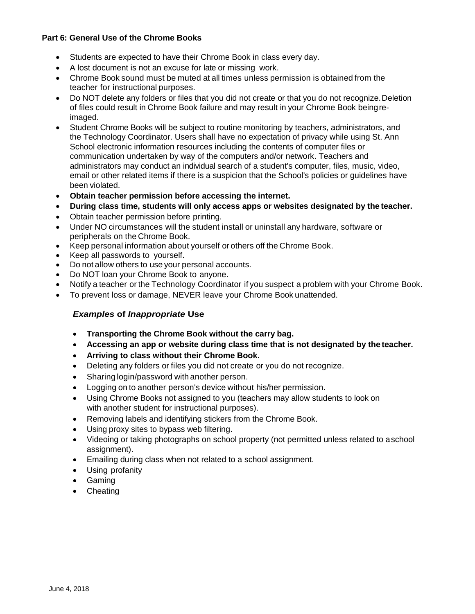### **Part 6: General Use of the Chrome Books**

- Students are expected to have their Chrome Book in class every day.
- A lost document is not an excuse for late or missing work.
- Chrome Book sound must be muted at all times unless permission is obtained from the teacher for instructional purposes.
- Do NOT delete any folders or files that you did not create or that you do not recognize. Deletion of files could result in Chrome Book failure and may result in your Chrome Book beingreimaged.
- Student Chrome Books will be subject to routine monitoring by teachers, administrators, and the Technology Coordinator. Users shall have no expectation of privacy while using St. Ann School electronic information resources including the contents of computer files or communication undertaken by way of the computers and/or network. Teachers and administrators may conduct an individual search of a student's computer, files, music, video, email or other related items if there is a suspicion that the School's policies or guidelines have been violated.
- **Obtain teacher permission before accessing the internet.**
- **During class time, students will only access apps or websites designated by the teacher.**
- Obtain teacher permission before printing.
- Under NO circumstances will the student install or uninstall any hardware, software or peripherals on the Chrome Book.
- Keep personal information about yourself or others off the Chrome Book.
- Keep all passwords to yourself.
- Do not allow others to use your personal accounts.
- Do NOT loan your Chrome Book to anyone.
- Notify a teacher or the Technology Coordinator if you suspect a problem with your Chrome Book.
- To prevent loss or damage, NEVER leave your Chrome Book unattended.

### *Examples* **of** *Inappropriate* **Use**

- **Transporting the Chrome Book without the carry bag.**
- **Accessing an app or website during class time that is not designated by the teacher.**
- **Arriving to class without their Chrome Book.**
- Deleting any folders or files you did not create or you do not recognize.
- Sharing login/password with another person.
- Logging on to another person's device without his/her permission.
- Using Chrome Books not assigned to you (teachers may allow students to look on with another student for instructional purposes).
- Removing labels and identifying stickers from the Chrome Book.
- Using proxy sites to bypass web filtering.
- Videoing or taking photographs on school property (not permitted unless related to aschool assignment).
- Emailing during class when not related to a school assignment.
- Using profanity
- Gaming
- Cheating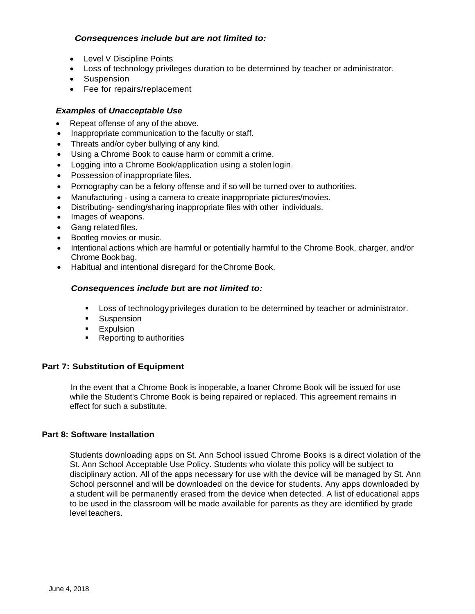### *Consequences include but are not limited to:*

- Level V Discipline Points
- Loss of technology privileges duration to be determined by teacher or administrator.
- Suspension
- Fee for repairs/replacement

### *Examples* **of** *Unacceptable Use*

- Repeat offense of any of the above.
- Inappropriate communication to the faculty or staff.
- Threats and/or cyber bullying of any kind.
- Using a Chrome Book to cause harm or commit a crime.
- Logging into a Chrome Book/application using a stolen login.
- Possession of inappropriate files.
- Pornography can be a felony offense and if so will be turned over to authorities.
- Manufacturing using a camera to create inappropriate pictures/movies.
- Distributing- sending/sharing inappropriate files with other individuals.
- Images of weapons.
- Gang related files.
- Bootleg movies or music.
- Intentional actions which are harmful or potentially harmful to the Chrome Book, charger, and/or Chrome Book bag.
- Habitual and intentional disregard for theChrome Book.

### *Consequences include but* **are** *not limited to:*

- **Loss of technology privileges duration to be determined by teacher or administrator.**
- **Suspension**
- **Expulsion**
- **Reporting to authorities**

## **Part 7: Substitution of Equipment**

In the event that a Chrome Book is inoperable, a loaner Chrome Book will be issued for use while the Student's Chrome Book is being repaired or replaced. This agreement remains in effect for such a substitute.

### **Part 8: Software Installation**

Students downloading apps on St. Ann School issued Chrome Books is a direct violation of the St. Ann School Acceptable Use Policy. Students who violate this policy will be subject to disciplinary action. All of the apps necessary for use with the device will be managed by St. Ann School personnel and will be downloaded on the device for students. Any apps downloaded by a student will be permanently erased from the device when detected. A list of educational apps to be used in the classroom will be made available for parents as they are identified by grade level teachers.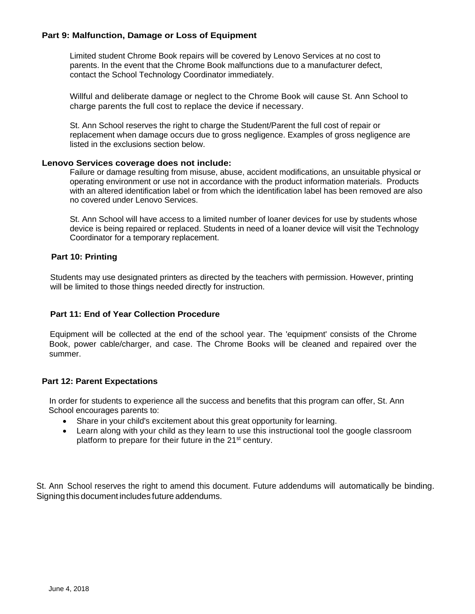### **Part 9: Malfunction, Damage or Loss of Equipment**

Limited student Chrome Book repairs will be covered by Lenovo Services at no cost to parents. In the event that the Chrome Book malfunctions due to a manufacturer defect, contact the School Technology Coordinator immediately.

Willful and deliberate damage or neglect to the Chrome Book will cause St. Ann School to charge parents the full cost to replace the device if necessary.

St. Ann School reserves the right to charge the Student/Parent the full cost of repair or replacement when damage occurs due to gross negligence. Examples of gross negligence are listed in the exclusions section below.

#### **Lenovo Services coverage does not include:**

Failure or damage resulting from misuse, abuse, accident modifications, an unsuitable physical or operating environment or use not in accordance with the product information materials. Products with an altered identification label or from which the identification label has been removed are also no covered under Lenovo Services.

St. Ann School will have access to a limited number of loaner devices for use by students whose device is being repaired or replaced. Students in need of a loaner device will visit the Technology Coordinator for a temporary replacement.

### **Part 10: Printing**

Students may use designated printers as directed by the teachers with permission. However, printing will be limited to those things needed directly for instruction.

### **Part 11: End of Year Collection Procedure**

Equipment will be collected at the end of the school year. The 'equipment' consists of the Chrome Book, power cable/charger, and case. The Chrome Books will be cleaned and repaired over the summer.

### **Part 12: Parent Expectations**

In order for students to experience all the success and benefits that this program can offer, St. Ann School encourages parents to:

- Share in your child's excitement about this great opportunity for learning.
- Learn along with your child as they learn to use this instructional tool the google classroom platform to prepare for their future in the 21<sup>st</sup> century.

St. Ann School reserves the right to amend this document. Future addendums will automatically be binding. Signing this document includes future addendums.